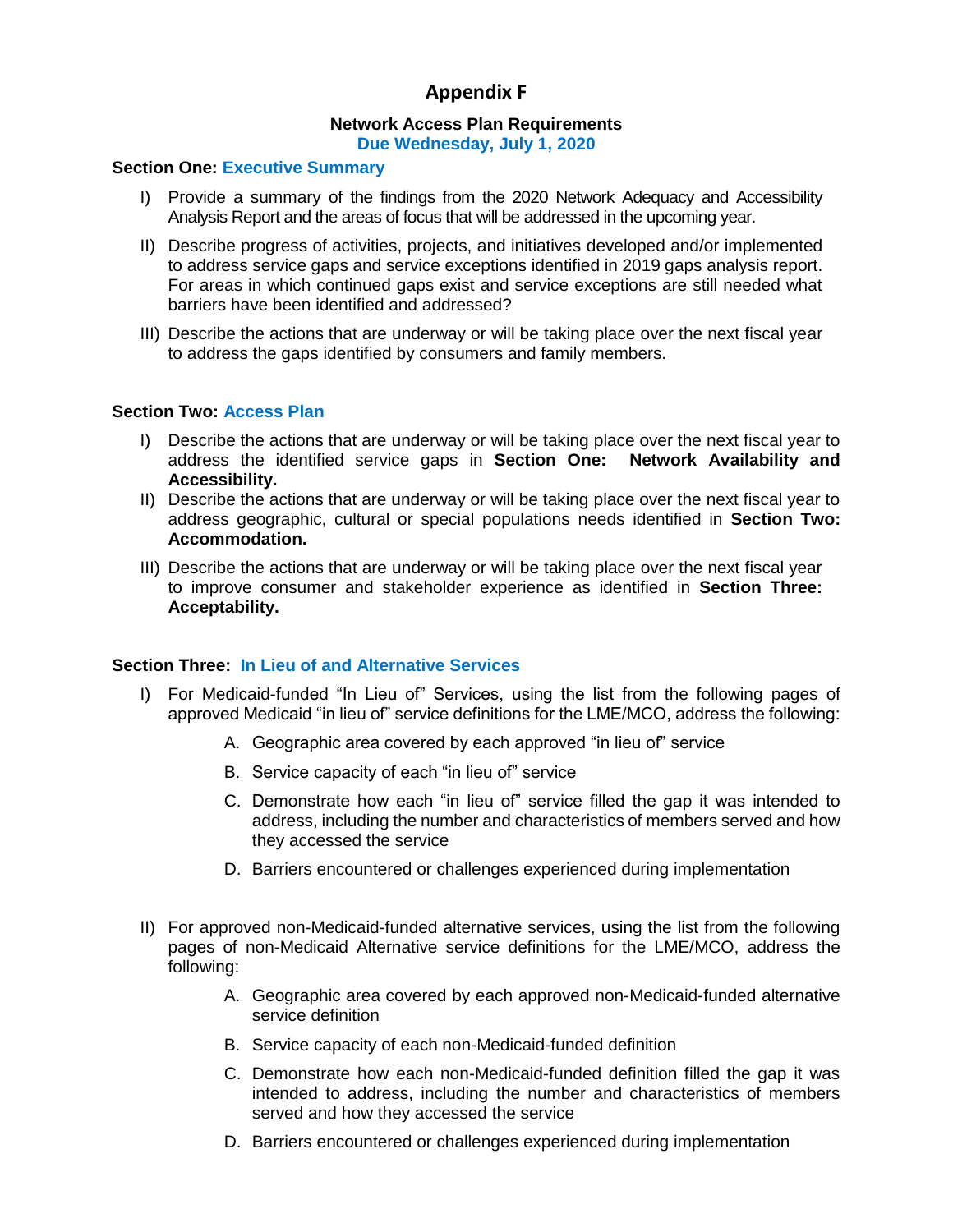# **Appendix F**

# **Network Access Plan Requirements**

**Due Wednesday, July 1, 2020**

#### **Section One: Executive Summary**

- I) Provide a summary of the findings from the 2020 Network Adequacy and Accessibility Analysis Report and the areas of focus that will be addressed in the upcoming year.
- II) Describe progress of activities, projects, and initiatives developed and/or implemented to address service gaps and service exceptions identified in 2019 gaps analysis report. For areas in which continued gaps exist and service exceptions are still needed what barriers have been identified and addressed?
- III) Describe the actions that are underway or will be taking place over the next fiscal year to address the gaps identified by consumers and family members.

#### **Section Two: Access Plan**

- I) Describe the actions that are underway or will be taking place over the next fiscal year to address the identified service gaps in **Section One: Network Availability and Accessibility.**
- II) Describe the actions that are underway or will be taking place over the next fiscal year to address geographic, cultural or special populations needs identified in **Section Two: Accommodation.**
- III) Describe the actions that are underway or will be taking place over the next fiscal year to improve consumer and stakeholder experience as identified in **Section Three: Acceptability.**

#### **Section Three: In Lieu of and Alternative Services**

- I) For Medicaid-funded "In Lieu of" Services, using the list from the following pages of approved Medicaid "in lieu of" service definitions for the LME/MCO, address the following:
	- A. Geographic area covered by each approved "in lieu of" service
	- B. Service capacity of each "in lieu of" service
	- C. Demonstrate how each "in lieu of" service filled the gap it was intended to address, including the number and characteristics of members served and how they accessed the service
	- D. Barriers encountered or challenges experienced during implementation
- II) For approved non-Medicaid-funded alternative services, using the list from the following pages of non-Medicaid Alternative service definitions for the LME/MCO, address the following:
	- A. Geographic area covered by each approved non-Medicaid-funded alternative service definition
	- B. Service capacity of each non-Medicaid-funded definition
	- C. Demonstrate how each non-Medicaid-funded definition filled the gap it was intended to address, including the number and characteristics of members served and how they accessed the service
	- D. Barriers encountered or challenges experienced during implementation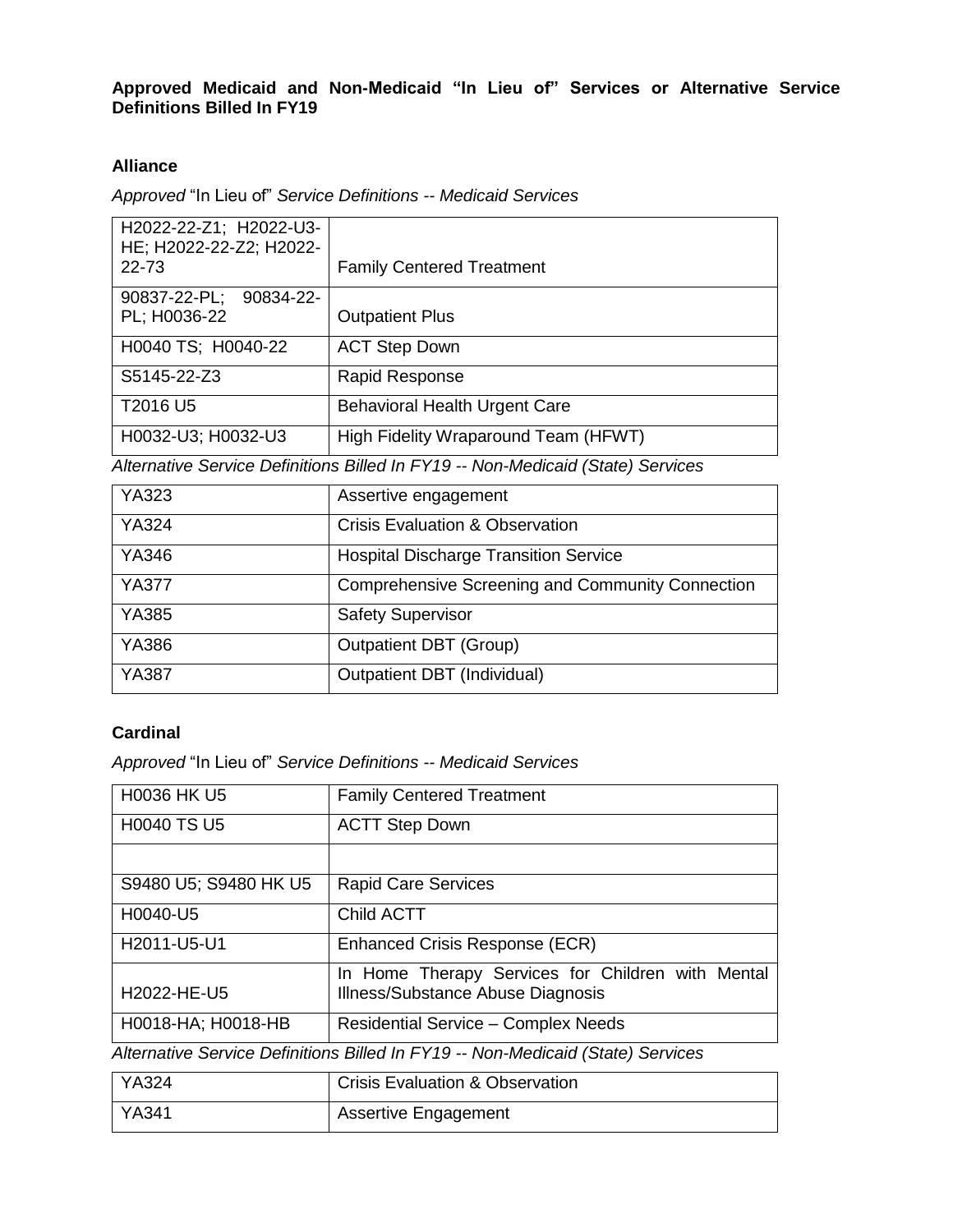### **Approved Medicaid and Non-Medicaid "In Lieu of" Services or Alternative Service Definitions Billed In FY19**

### **Alliance**

*Approved* "In Lieu of" *Service Definitions -- Medicaid Services*

| H2022-22-Z1; H2022-U3-<br>HE; H2022-22-Z2; H2022-<br>22-73 | <b>Family Centered Treatment</b>     |
|------------------------------------------------------------|--------------------------------------|
| 90837-22-PL; 90834-22-<br>PL; H0036-22                     | <b>Outpatient Plus</b>               |
| H0040 TS; H0040-22                                         | <b>ACT Step Down</b>                 |
| S5145-22-Z3                                                | Rapid Response                       |
| T2016 U5                                                   | <b>Behavioral Health Urgent Care</b> |
| H0032-U3; H0032-U3                                         | High Fidelity Wraparound Team (HFWT) |

*Alternative Service Definitions Billed In FY19 -- Non-Medicaid (State) Services*

| YA323        | Assertive engagement                                    |
|--------------|---------------------------------------------------------|
| <b>YA324</b> | <b>Crisis Evaluation &amp; Observation</b>              |
| <b>YA346</b> | <b>Hospital Discharge Transition Service</b>            |
| <b>YA377</b> | <b>Comprehensive Screening and Community Connection</b> |
| <b>YA385</b> | <b>Safety Supervisor</b>                                |
| YA386        | Outpatient DBT (Group)                                  |
| <b>YA387</b> | Outpatient DBT (Individual)                             |

### **Cardinal**

*Approved* "In Lieu of" *Service Definitions -- Medicaid Services*

| <b>H0036 HK U5</b>                                                              | <b>Family Centered Treatment</b>                                                       |  |
|---------------------------------------------------------------------------------|----------------------------------------------------------------------------------------|--|
| <b>H0040 TS U5</b>                                                              | <b>ACTT Step Down</b>                                                                  |  |
|                                                                                 |                                                                                        |  |
| S9480 U5; S9480 HK U5                                                           | <b>Rapid Care Services</b>                                                             |  |
| H0040-U5                                                                        | Child ACTT                                                                             |  |
| H2011-U5-U1                                                                     | Enhanced Crisis Response (ECR)                                                         |  |
| H2022-HE-U5                                                                     | In Home Therapy Services for Children with Mental<br>Illness/Substance Abuse Diagnosis |  |
| H0018-HA; H0018-HB                                                              | <b>Residential Service - Complex Needs</b>                                             |  |
| Alternative Service Definitions Billed In FY19 -- Non-Medicaid (State) Services |                                                                                        |  |

| YA324 | <b>Crisis Evaluation &amp; Observation</b> |
|-------|--------------------------------------------|
| YA341 | <b>Assertive Engagement</b>                |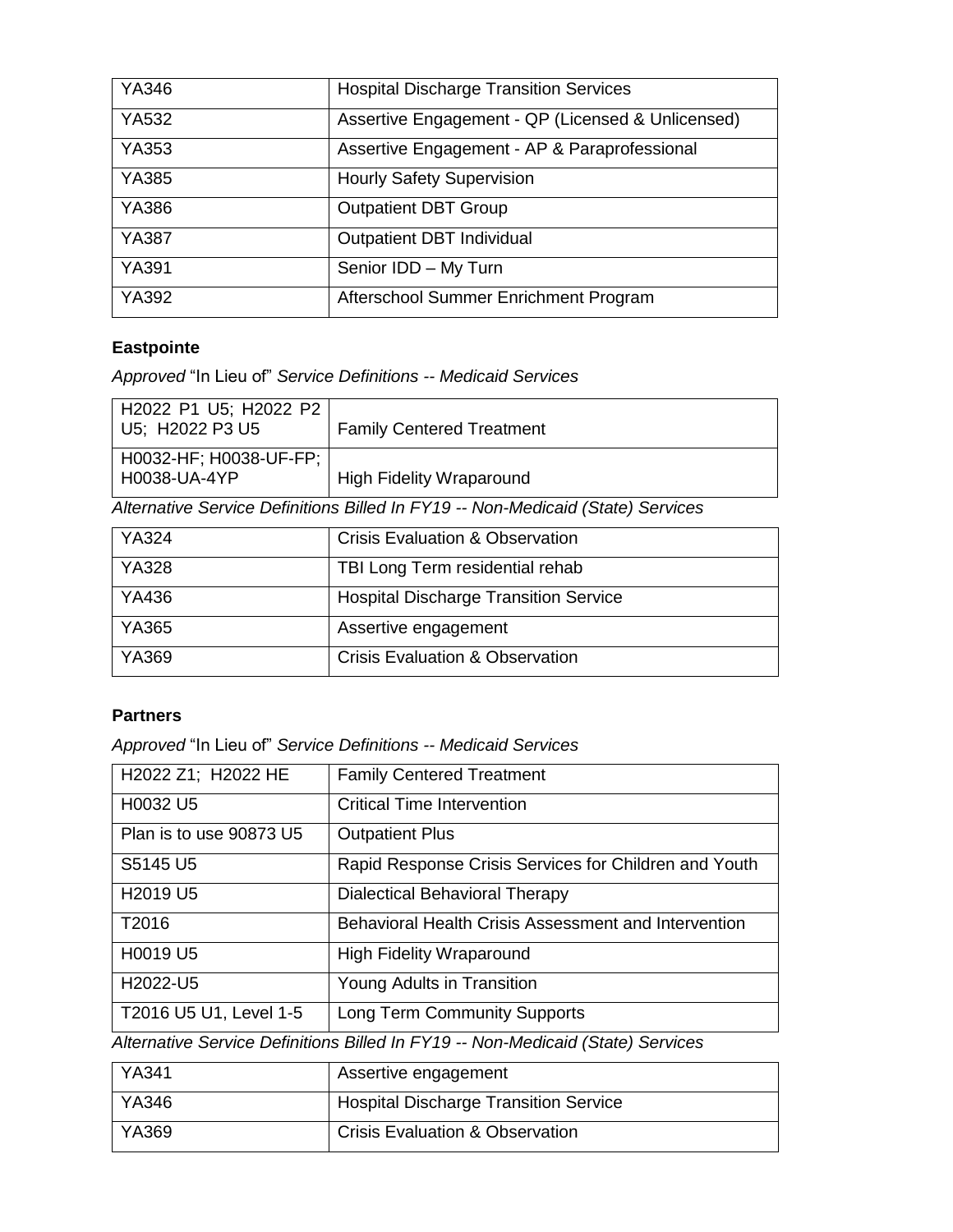| YA346        | <b>Hospital Discharge Transition Services</b>     |
|--------------|---------------------------------------------------|
| YA532        | Assertive Engagement - QP (Licensed & Unlicensed) |
| YA353        | Assertive Engagement - AP & Paraprofessional      |
| <b>YA385</b> | <b>Hourly Safety Supervision</b>                  |
| YA386        | <b>Outpatient DBT Group</b>                       |
| <b>YA387</b> | Outpatient DBT Individual                         |
| <b>YA391</b> | Senior IDD - My Turn                              |
| YA392        | Afterschool Summer Enrichment Program             |

# **Eastpointe**

*Approved* "In Lieu of" *Service Definitions -- Medicaid Services*

| H2022 P1 U5; H2022 P2  <br>U5; H2022 P3 U5 | <b>Family Centered Treatment</b> |
|--------------------------------------------|----------------------------------|
| H0032-HF; H0038-UF-FP;  <br>H0038-UA-4YP   | <b>High Fidelity Wraparound</b>  |

*Alternative Service Definitions Billed In FY19 -- Non-Medicaid (State) Services*

| <b>YA324</b> | <b>Crisis Evaluation &amp; Observation</b>   |
|--------------|----------------------------------------------|
| <b>YA328</b> | TBI Long Term residential rehab              |
| YA436        | <b>Hospital Discharge Transition Service</b> |
| YA365        | Assertive engagement                         |
| YA369        | <b>Crisis Evaluation &amp; Observation</b>   |

### **Partners**

*Approved* "In Lieu of" *Service Definitions -- Medicaid Services*

| H2022 Z1; H2022 HE                                                              | <b>Family Centered Treatment</b>                            |  |
|---------------------------------------------------------------------------------|-------------------------------------------------------------|--|
| H0032 U5                                                                        | <b>Critical Time Intervention</b>                           |  |
| Plan is to use 90873 U5                                                         | <b>Outpatient Plus</b>                                      |  |
| S5145 U5                                                                        | Rapid Response Crisis Services for Children and Youth       |  |
| H2019 U5                                                                        | Dialectical Behavioral Therapy                              |  |
| T2016                                                                           | <b>Behavioral Health Crisis Assessment and Intervention</b> |  |
| H0019 U5                                                                        | <b>High Fidelity Wraparound</b>                             |  |
| H2022-U5                                                                        | Young Adults in Transition                                  |  |
| T2016 U5 U1, Level 1-5                                                          | <b>Long Term Community Supports</b>                         |  |
| Alternative Service Definitions Billed In FY19 -- Non-Medicaid (State) Services |                                                             |  |

| YA341              | Assertive engagement                         |
|--------------------|----------------------------------------------|
| <sup>1</sup> YA346 | <b>Hospital Discharge Transition Service</b> |
| YA369              | <b>Crisis Evaluation &amp; Observation</b>   |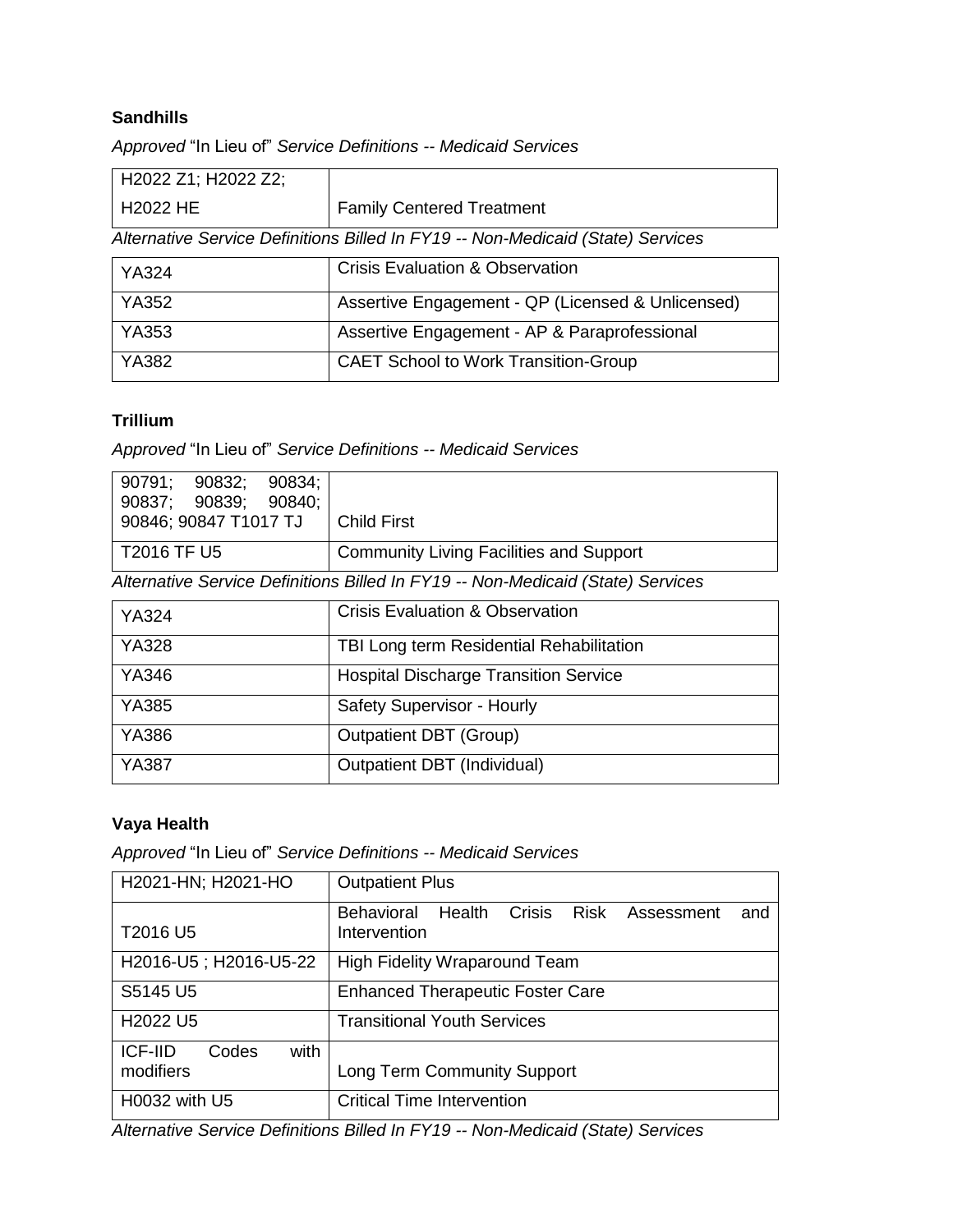### **Sandhills**

*Approved* "In Lieu of" *Service Definitions -- Medicaid Services*

| H2022 Z1; H2022 Z2; |                                                                                 |
|---------------------|---------------------------------------------------------------------------------|
| <b>H2022 HE</b>     | <b>Family Centered Treatment</b>                                                |
|                     | Alternative Service Definitions Billed In FY19 -- Non-Medicaid (State) Services |
| YA324               | <b>Crisis Evaluation &amp; Observation</b>                                      |
| <b>YA352</b>        | Assertive Engagement - QP (Licensed & Unlicensed)                               |
| <b>YA353</b>        | Assertive Engagement - AP & Paraprofessional                                    |
| YA382               | <b>CAET School to Work Transition-Group</b>                                     |

### **Trillium**

*Approved* "In Lieu of" *Service Definitions -- Medicaid Services*

| 90791; 90832;                                                                   | 90837; 90839; 90840; | 90834: |                                                |
|---------------------------------------------------------------------------------|----------------------|--------|------------------------------------------------|
| 90846; 90847 T1017 TJ                                                           |                      |        | Child First                                    |
| T2016 TF U5                                                                     |                      |        | <b>Community Living Facilities and Support</b> |
| Alternative Service Definitions Billed In FY19 -- Non-Medicaid (State) Services |                      |        |                                                |

| <b>YA324</b> | <b>Crisis Evaluation &amp; Observation</b>   |
|--------------|----------------------------------------------|
| <b>YA328</b> | TBI Long term Residential Rehabilitation     |
| <b>YA346</b> | <b>Hospital Discharge Transition Service</b> |
| <b>YA385</b> | Safety Supervisor - Hourly                   |
| <b>YA386</b> | <b>Outpatient DBT (Group)</b>                |
| <b>YA387</b> | Outpatient DBT (Individual)                  |

# **Vaya Health**

*Approved* "In Lieu of" *Service Definitions -- Medicaid Services*

| H2021-HN; H2021-HO                           | <b>Outpatient Plus</b>                                                                    |
|----------------------------------------------|-------------------------------------------------------------------------------------------|
| T2016 U5                                     | Crisis<br><b>Risk</b><br><b>Behavioral</b><br>Health<br>Assessment<br>and<br>Intervention |
| H2016-U5; H2016-U5-22                        | <b>High Fidelity Wraparound Team</b>                                                      |
| S5145 U5                                     | <b>Enhanced Therapeutic Foster Care</b>                                                   |
| H <sub>2022</sub> U <sub>5</sub>             | <b>Transitional Youth Services</b>                                                        |
| with<br><b>ICF-IID</b><br>Codes<br>modifiers | <b>Long Term Community Support</b>                                                        |
| H0032 with U5                                | <b>Critical Time Intervention</b>                                                         |

*Alternative Service Definitions Billed In FY19 -- Non-Medicaid (State) Services*